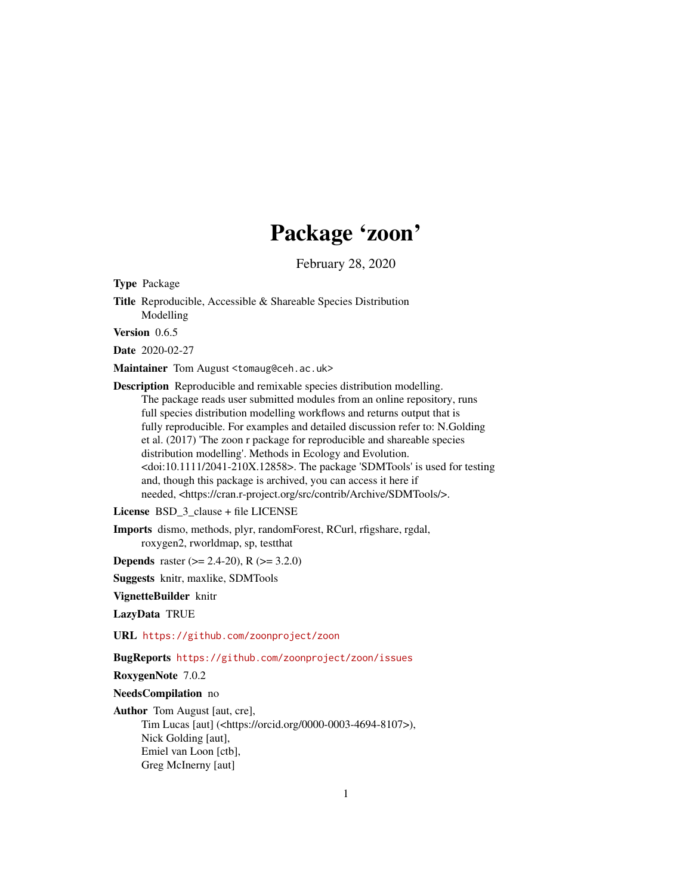# Package 'zoon'

February 28, 2020

Type Package

Title Reproducible, Accessible & Shareable Species Distribution Modelling

Version 0.6.5

Date 2020-02-27

Maintainer Tom August <tomaug@ceh.ac.uk>

Description Reproducible and remixable species distribution modelling. The package reads user submitted modules from an online repository, runs full species distribution modelling workflows and returns output that is fully reproducible. For examples and detailed discussion refer to: N.Golding et al. (2017) 'The zoon r package for reproducible and shareable species distribution modelling'. Methods in Ecology and Evolution. <doi:10.1111/2041-210X.12858>. The package 'SDMTools' is used for testing and, though this package is archived, you can access it here if needed, <https://cran.r-project.org/src/contrib/Archive/SDMTools/>.

License BSD 3 clause + file LICENSE

Imports dismo, methods, plyr, randomForest, RCurl, rfigshare, rgdal, roxygen2, rworldmap, sp, testthat

**Depends** raster ( $>= 2.4-20$ ), R ( $>= 3.2.0$ )

Suggests knitr, maxlike, SDMTools

VignetteBuilder knitr

LazyData TRUE

URL <https://github.com/zoonproject/zoon>

BugReports <https://github.com/zoonproject/zoon/issues>

RoxygenNote 7.0.2

NeedsCompilation no

Author Tom August [aut, cre], Tim Lucas [aut] (<https://orcid.org/0000-0003-4694-8107>), Nick Golding [aut], Emiel van Loon [ctb], Greg McInerny [aut]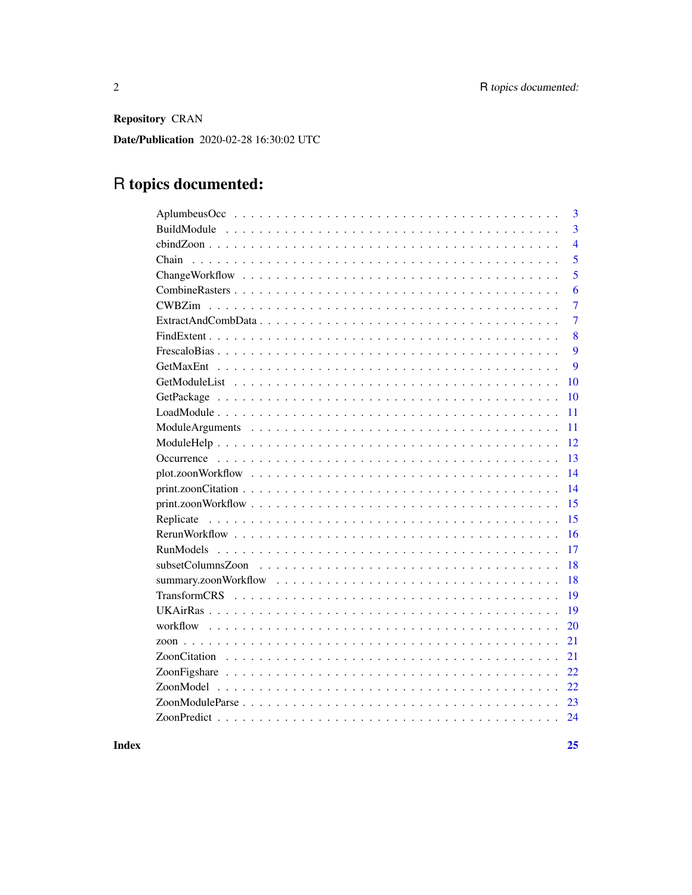Repository CRAN

Date/Publication 2020-02-28 16:30:02 UTC

# R topics documented:

**Index**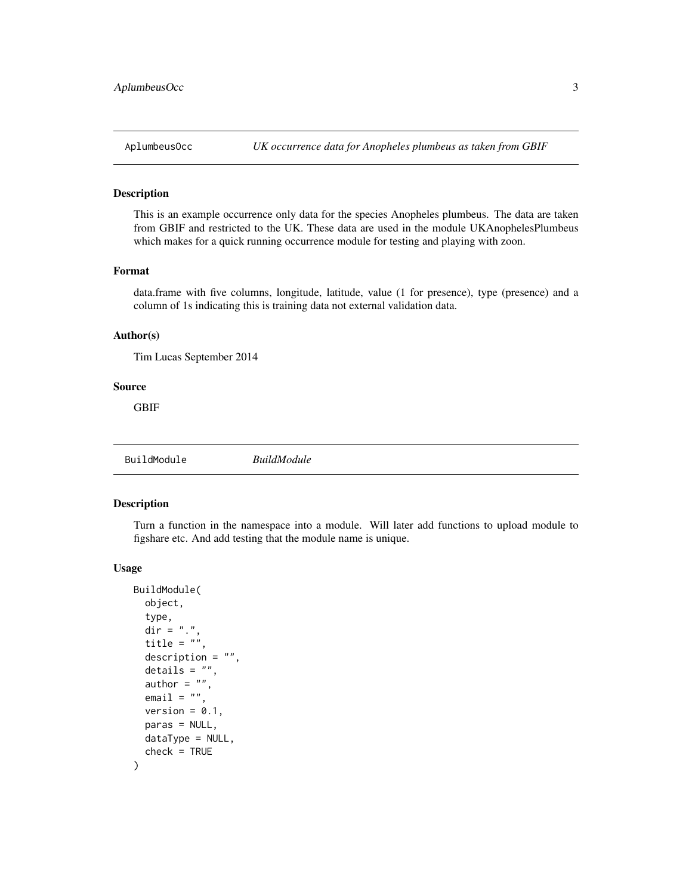<span id="page-2-0"></span>

This is an example occurrence only data for the species Anopheles plumbeus. The data are taken from GBIF and restricted to the UK. These data are used in the module UKAnophelesPlumbeus which makes for a quick running occurrence module for testing and playing with zoon.

#### Format

data.frame with five columns, longitude, latitude, value (1 for presence), type (presence) and a column of 1s indicating this is training data not external validation data.

#### Author(s)

Tim Lucas September 2014

#### Source

GBIF

BuildModule *BuildModule*

#### Description

Turn a function in the namespace into a module. Will later add functions to upload module to figshare etc. And add testing that the module name is unique.

#### Usage

```
BuildModule(
  object,
  type,
  dir = ".".title = ",
  description = ",
  details = "",author = ",
  email = ".
  version = 0.1,
 paras = NULL,
  dataType = NULL,
  check = TRUE)
```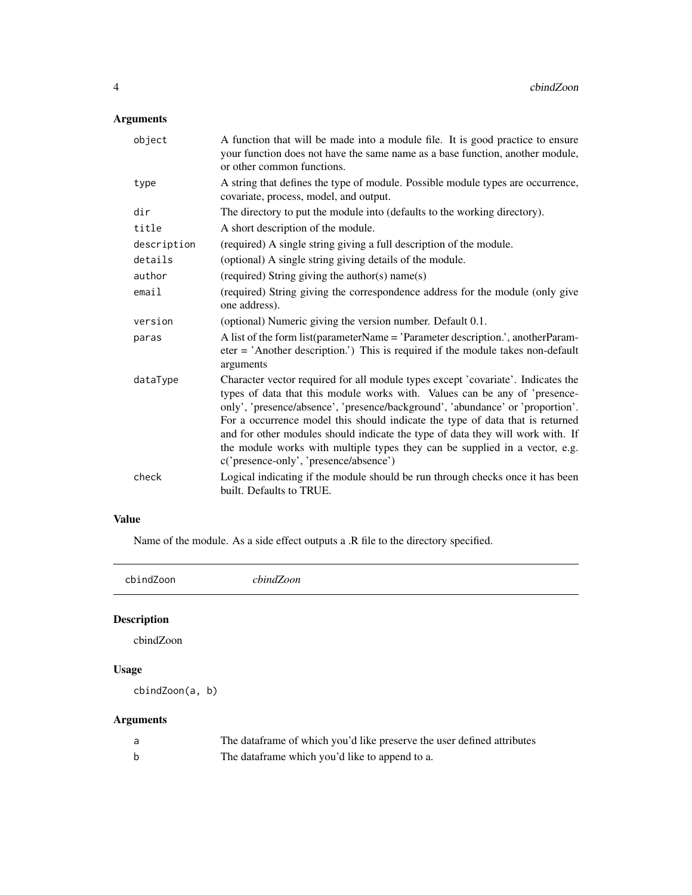### <span id="page-3-0"></span>Arguments

| object      | A function that will be made into a module file. It is good practice to ensure<br>your function does not have the same name as a base function, another module,<br>or other common functions.                                                                                                                                                                                                                                                                                                                                                |
|-------------|----------------------------------------------------------------------------------------------------------------------------------------------------------------------------------------------------------------------------------------------------------------------------------------------------------------------------------------------------------------------------------------------------------------------------------------------------------------------------------------------------------------------------------------------|
| type        | A string that defines the type of module. Possible module types are occurrence,<br>covariate, process, model, and output.                                                                                                                                                                                                                                                                                                                                                                                                                    |
| dir         | The directory to put the module into (defaults to the working directory).                                                                                                                                                                                                                                                                                                                                                                                                                                                                    |
| title       | A short description of the module.                                                                                                                                                                                                                                                                                                                                                                                                                                                                                                           |
| description | (required) A single string giving a full description of the module.                                                                                                                                                                                                                                                                                                                                                                                                                                                                          |
| details     | (optional) A single string giving details of the module.                                                                                                                                                                                                                                                                                                                                                                                                                                                                                     |
| author      | (required) String giving the author(s) name(s)                                                                                                                                                                                                                                                                                                                                                                                                                                                                                               |
| email       | (required) String giving the correspondence address for the module (only give<br>one address).                                                                                                                                                                                                                                                                                                                                                                                                                                               |
| version     | (optional) Numeric giving the version number. Default 0.1.                                                                                                                                                                                                                                                                                                                                                                                                                                                                                   |
| paras       | A list of the form list(parameterName = 'Parameter description.', anotherParam-<br>$\text{eter} = 'Another description.'$ This is required if the module takes non-default<br>arguments                                                                                                                                                                                                                                                                                                                                                      |
| dataType    | Character vector required for all module types except 'covariate'. Indicates the<br>types of data that this module works with. Values can be any of 'presence-<br>only', 'presence/absence', 'presence/background', 'abundance' or 'proportion'.<br>For a occurrence model this should indicate the type of data that is returned<br>and for other modules should indicate the type of data they will work with. If<br>the module works with multiple types they can be supplied in a vector, e.g.<br>c('presence-only', 'presence/absence') |
| check       | Logical indicating if the module should be run through checks once it has been<br>built. Defaults to TRUE.                                                                                                                                                                                                                                                                                                                                                                                                                                   |

### Value

Name of the module. As a side effect outputs a .R file to the directory specified.

cbindZoon *cbindZoon*

### Description

cbindZoon

### Usage

cbindZoon(a, b)

### Arguments

| The dataframe of which you'd like preserve the user defined attributes |
|------------------------------------------------------------------------|
| The dataframe which you'd like to append to a.                         |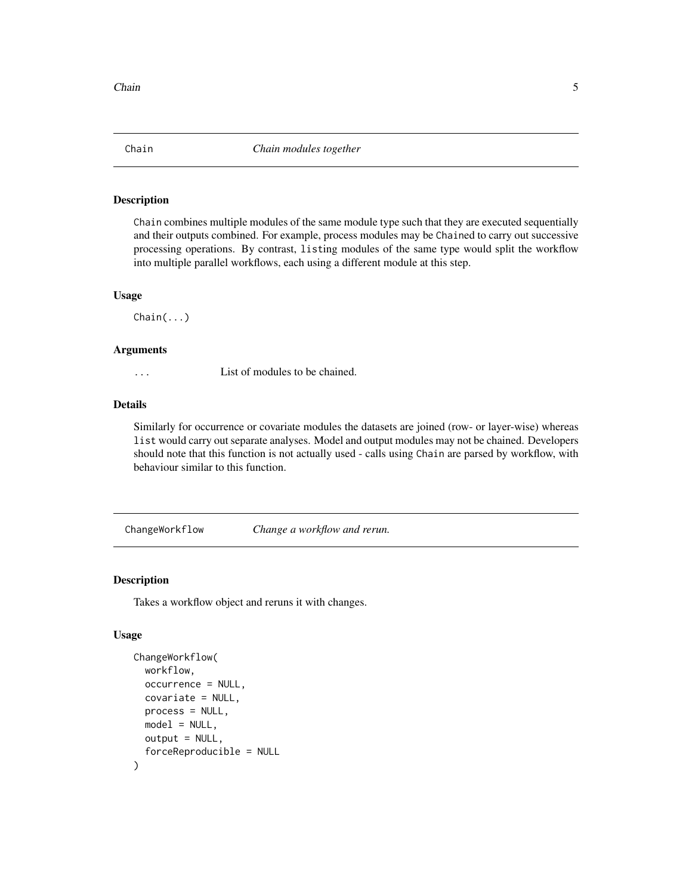<span id="page-4-0"></span>

Chain combines multiple modules of the same module type such that they are executed sequentially and their outputs combined. For example, process modules may be Chained to carry out successive processing operations. By contrast, listing modules of the same type would split the workflow into multiple parallel workflows, each using a different module at this step.

#### Usage

Chain(...)

#### Arguments

... List of modules to be chained.

### Details

Similarly for occurrence or covariate modules the datasets are joined (row- or layer-wise) whereas list would carry out separate analyses. Model and output modules may not be chained. Developers should note that this function is not actually used - calls using Chain are parsed by workflow, with behaviour similar to this function.

ChangeWorkflow *Change a workflow and rerun.*

#### Description

Takes a workflow object and reruns it with changes.

#### Usage

```
ChangeWorkflow(
 workflow,
  occurrence = NULL,
  covariate = NULL,
 process = NULL,
 model = NULL,output = NULL,forceReproducible = NULL
)
```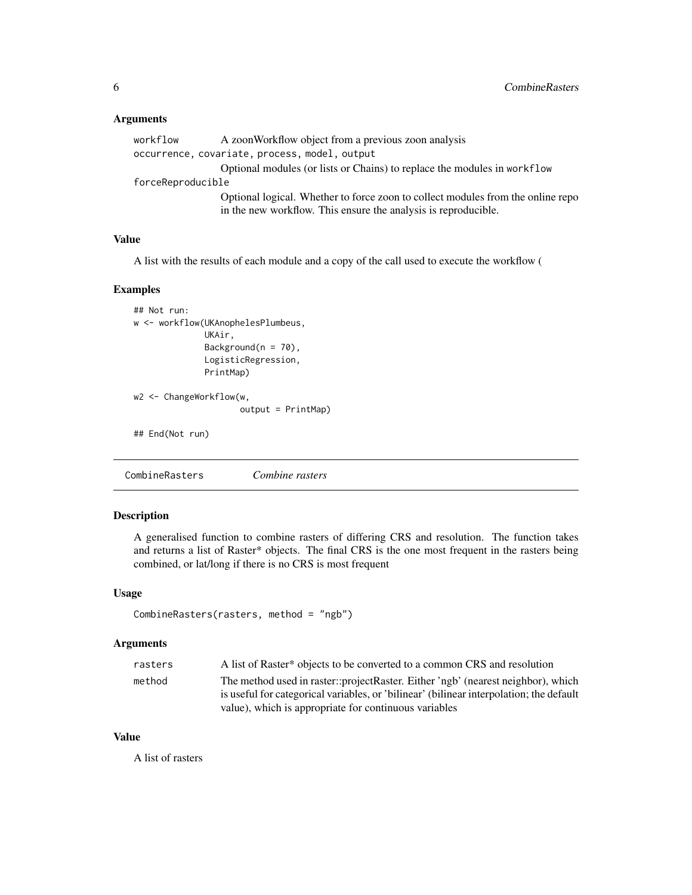### <span id="page-5-0"></span>Arguments

| workflow          | A zoonWorkflow object from a previous zoon analysis                                                                                               |
|-------------------|---------------------------------------------------------------------------------------------------------------------------------------------------|
|                   | occurrence, covariate, process, model, output                                                                                                     |
|                   | Optional modules (or lists or Chains) to replace the modules in workflow                                                                          |
| forceReproducible |                                                                                                                                                   |
|                   | Optional logical. Whether to force zoon to collect modules from the online repo<br>in the new workflow. This ensure the analysis is reproducible. |
|                   |                                                                                                                                                   |

### Value

A list with the results of each module and a copy of the call used to execute the workflow (

#### Examples

```
## Not run:
w <- workflow(UKAnophelesPlumbeus,
              UKAir,
              Background(n = 70),
              LogisticRegression,
              PrintMap)
w2 <- ChangeWorkflow(w,
                     output = PrintMap)
## End(Not run)
```
CombineRasters *Combine rasters*

### Description

A generalised function to combine rasters of differing CRS and resolution. The function takes and returns a list of Raster\* objects. The final CRS is the one most frequent in the rasters being combined, or lat/long if there is no CRS is most frequent

#### Usage

```
CombineRasters(rasters, method = "ngb")
```
#### Arguments

| rasters | A list of Raster* objects to be converted to a common CRS and resolution                                                                                                    |
|---------|-----------------------------------------------------------------------------------------------------------------------------------------------------------------------------|
| method  | The method used in raster::projectRaster. Either 'ngb' (nearest neighbor), which<br>is useful for categorical variables, or 'bilinear' (bilinear interpolation; the default |
|         | value), which is appropriate for continuous variables                                                                                                                       |

### Value

A list of rasters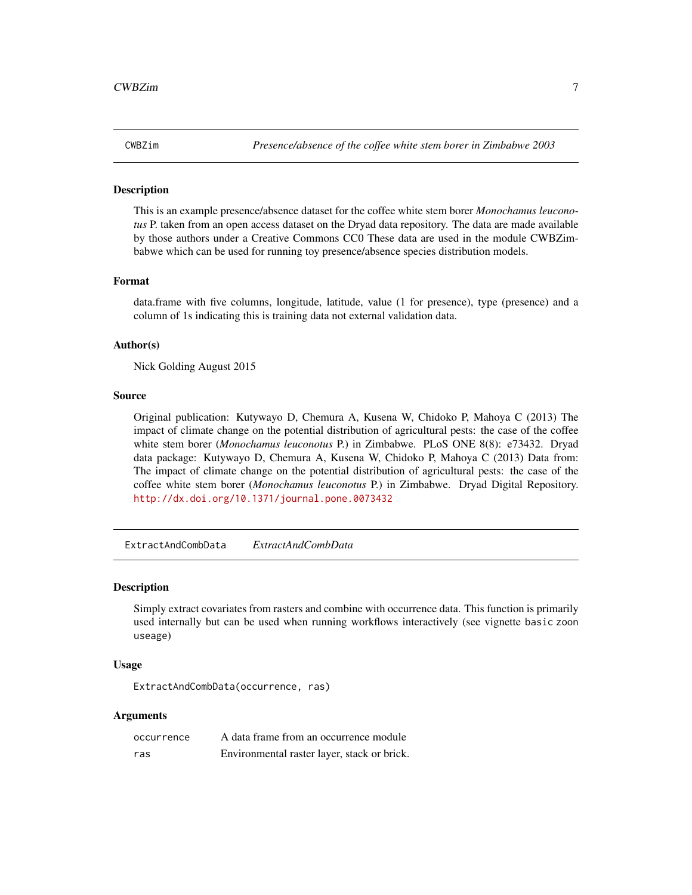<span id="page-6-0"></span>This is an example presence/absence dataset for the coffee white stem borer *Monochamus leuconotus* P. taken from an open access dataset on the Dryad data repository. The data are made available by those authors under a Creative Commons CC0 These data are used in the module CWBZimbabwe which can be used for running toy presence/absence species distribution models.

#### Format

data.frame with five columns, longitude, latitude, value (1 for presence), type (presence) and a column of 1s indicating this is training data not external validation data.

#### Author(s)

Nick Golding August 2015

#### Source

Original publication: Kutywayo D, Chemura A, Kusena W, Chidoko P, Mahoya C (2013) The impact of climate change on the potential distribution of agricultural pests: the case of the coffee white stem borer (*Monochamus leuconotus* P.) in Zimbabwe. PLoS ONE 8(8): e73432. Dryad data package: Kutywayo D, Chemura A, Kusena W, Chidoko P, Mahoya C (2013) Data from: The impact of climate change on the potential distribution of agricultural pests: the case of the coffee white stem borer (*Monochamus leuconotus* P.) in Zimbabwe. Dryad Digital Repository. <http://dx.doi.org/10.1371/journal.pone.0073432>

ExtractAndCombData *ExtractAndCombData*

#### **Description**

Simply extract covariates from rasters and combine with occurrence data. This function is primarily used internally but can be used when running workflows interactively (see vignette basic zoon useage)

#### Usage

ExtractAndCombData(occurrence, ras)

#### Arguments

| occurrence | A data frame from an occurrence module      |
|------------|---------------------------------------------|
| ras        | Environmental raster layer, stack or brick. |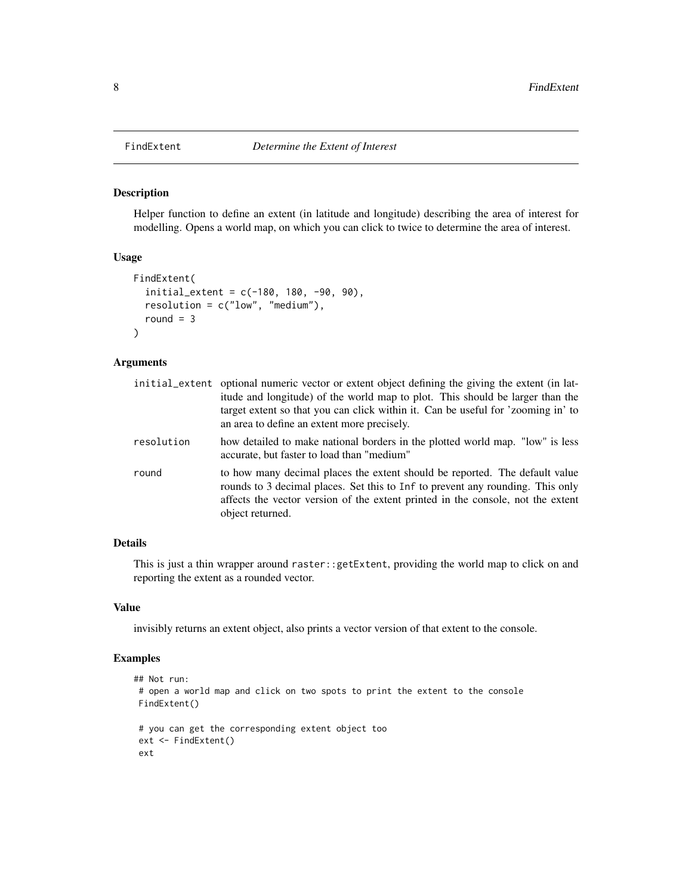Helper function to define an extent (in latitude and longitude) describing the area of interest for modelling. Opens a world map, on which you can click to twice to determine the area of interest.

#### Usage

```
FindExtent(
  initial_extent = c(-180, 180, -90, 90),
  resolution = c("low", "medium"),
  round = 3
)
```
#### Arguments

|            | initial_extent optional numeric vector or extent object defining the giving the extent (in lat-<br>itude and longitude) of the world map to plot. This should be larger than the<br>target extent so that you can click within it. Can be useful for 'zooming in' to<br>an area to define an extent more precisely. |  |
|------------|---------------------------------------------------------------------------------------------------------------------------------------------------------------------------------------------------------------------------------------------------------------------------------------------------------------------|--|
| resolution | how detailed to make national borders in the plotted world map. "low" is less<br>accurate, but faster to load than "medium"                                                                                                                                                                                         |  |
| round      | to how many decimal places the extent should be reported. The default value<br>rounds to 3 decimal places. Set this to Inf to prevent any rounding. This only<br>affects the vector version of the extent printed in the console, not the extent<br>object returned.                                                |  |

#### Details

This is just a thin wrapper around raster::getExtent, providing the world map to click on and reporting the extent as a rounded vector.

#### Value

invisibly returns an extent object, also prints a vector version of that extent to the console.

### Examples

```
## Not run:
# open a world map and click on two spots to print the extent to the console
FindExtent()
# you can get the corresponding extent object too
ext <- FindExtent()
ext
```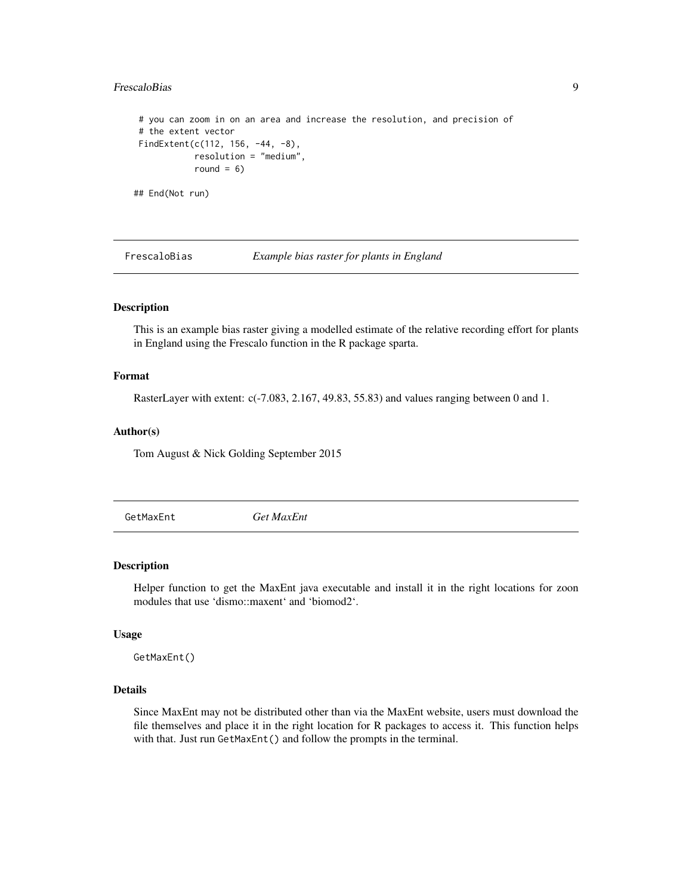#### <span id="page-8-0"></span>FrescaloBias 9

```
# you can zoom in on an area and increase the resolution, and precision of
# the extent vector
FindExtent(c(112, 156, -44, -8),
           resolution = "medium",
           round = 6)
```
## End(Not run)

FrescaloBias *Example bias raster for plants in England*

#### Description

This is an example bias raster giving a modelled estimate of the relative recording effort for plants in England using the Frescalo function in the R package sparta.

#### Format

RasterLayer with extent: c(-7.083, 2.167, 49.83, 55.83) and values ranging between 0 and 1.

#### Author(s)

Tom August & Nick Golding September 2015

GetMaxEnt *Get MaxEnt*

#### Description

Helper function to get the MaxEnt java executable and install it in the right locations for zoon modules that use 'dismo::maxent' and 'biomod2'.

#### Usage

GetMaxEnt()

### Details

Since MaxEnt may not be distributed other than via the MaxEnt website, users must download the file themselves and place it in the right location for R packages to access it. This function helps with that. Just run GetMaxEnt() and follow the prompts in the terminal.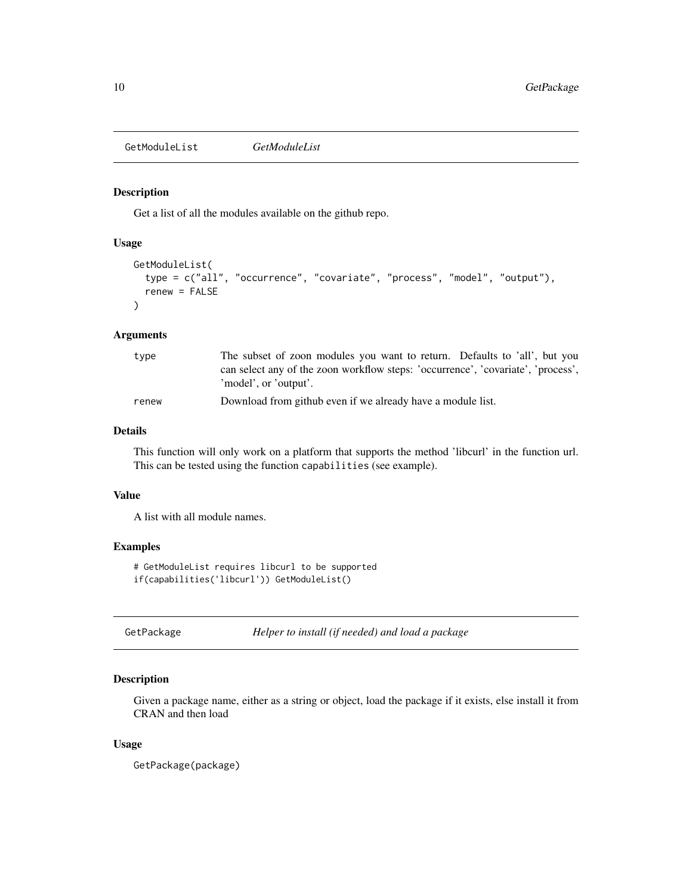<span id="page-9-1"></span><span id="page-9-0"></span>GetModuleList *GetModuleList*

### Description

Get a list of all the modules available on the github repo.

### Usage

```
GetModuleList(
  type = c("all", "occurrence", "covariate", "process", "model", "output"),
  renew = FALSE
\mathcal{L}
```
#### Arguments

| type  | The subset of zoon modules you want to return. Defaults to 'all', but you                                 |
|-------|-----------------------------------------------------------------------------------------------------------|
|       | can select any of the zoon workflow steps: 'occurrence', 'covariate', 'process',<br>'model', or 'output'. |
| renew | Download from github even if we already have a module list.                                               |

#### Details

This function will only work on a platform that supports the method 'libcurl' in the function url. This can be tested using the function capabilities (see example).

#### Value

A list with all module names.

### Examples

# GetModuleList requires libcurl to be supported if(capabilities('libcurl')) GetModuleList()

GetPackage *Helper to install (if needed) and load a package*

#### Description

Given a package name, either as a string or object, load the package if it exists, else install it from CRAN and then load

#### Usage

GetPackage(package)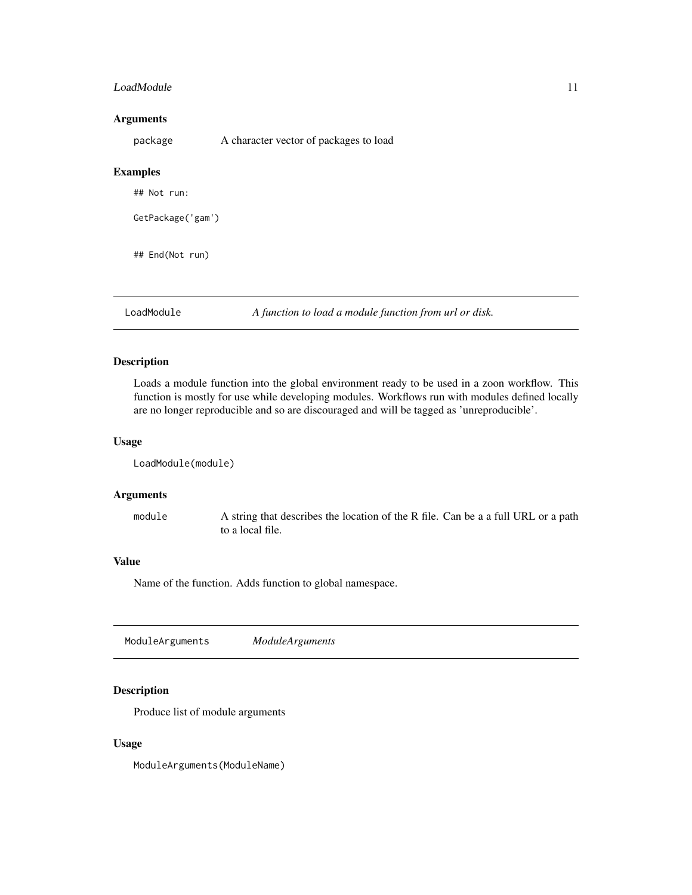#### <span id="page-10-0"></span>LoadModule 11

#### Arguments

package A character vector of packages to load

#### Examples

| ## End(Not run) |  |  |
|-----------------|--|--|
|                 |  |  |
|                 |  |  |

LoadModule *A function to load a module function from url or disk.*

### Description

Loads a module function into the global environment ready to be used in a zoon workflow. This function is mostly for use while developing modules. Workflows run with modules defined locally are no longer reproducible and so are discouraged and will be tagged as 'unreproducible'.

### Usage

LoadModule(module)

#### Arguments

module A string that describes the location of the R file. Can be a a full URL or a path to a local file.

#### Value

Name of the function. Adds function to global namespace.

ModuleArguments *ModuleArguments*

### Description

Produce list of module arguments

#### Usage

ModuleArguments(ModuleName)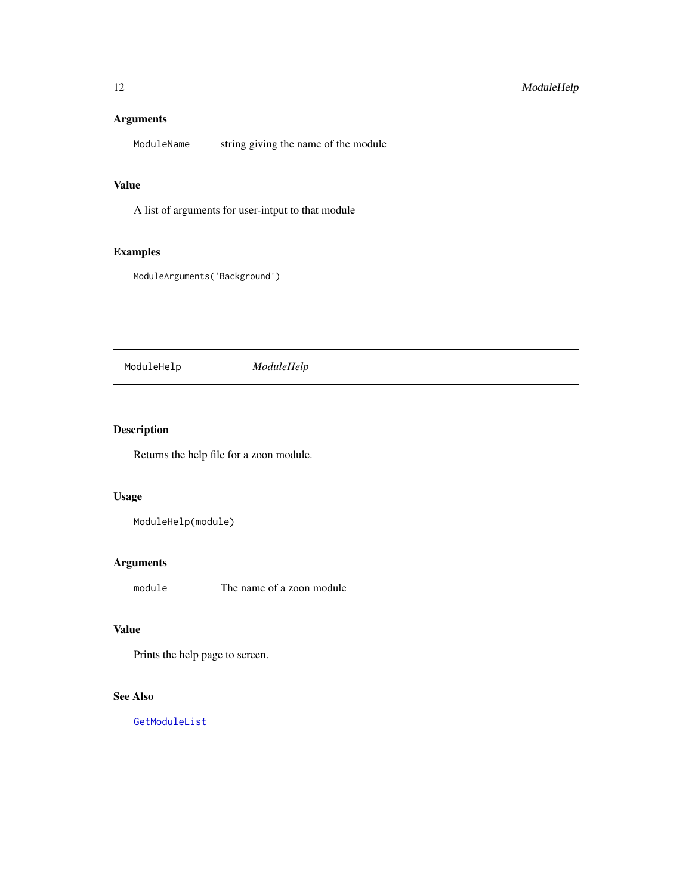### <span id="page-11-0"></span>Arguments

ModuleName string giving the name of the module

#### Value

A list of arguments for user-intput to that module

### Examples

ModuleArguments('Background')

ModuleHelp *ModuleHelp*

### Description

Returns the help file for a zoon module.

### Usage

ModuleHelp(module)

### Arguments

module The name of a zoon module

### Value

Prints the help page to screen.

### See Also

[GetModuleList](#page-9-1)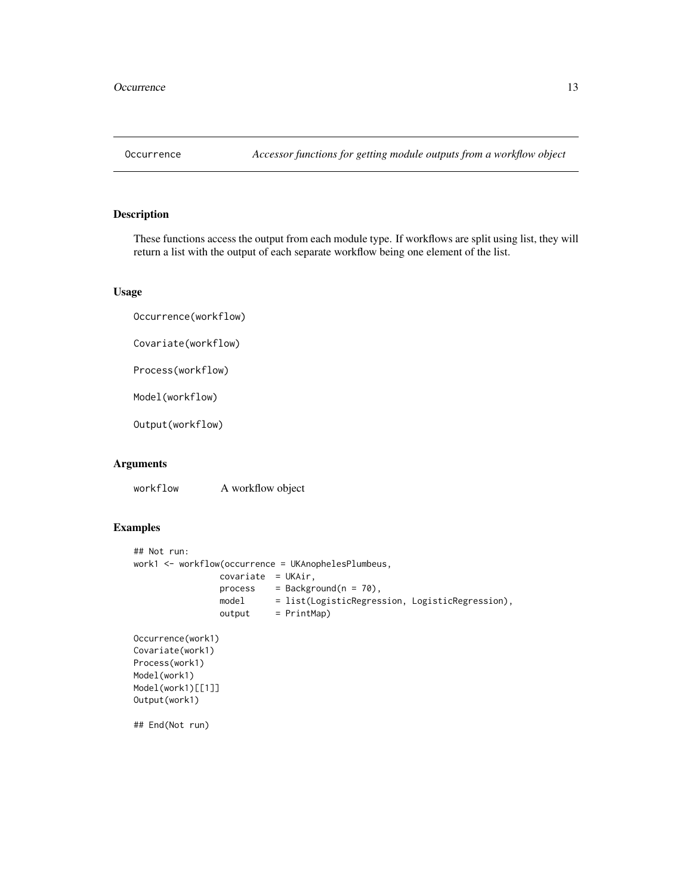<span id="page-12-0"></span>

These functions access the output from each module type. If workflows are split using list, they will return a list with the output of each separate workflow being one element of the list.

#### Usage

Occurrence(workflow)

Covariate(workflow)

Process(workflow)

Model(workflow)

Output(workflow)

#### Arguments

workflow A workflow object

### Examples

```
## Not run:
work1 <- workflow(occurrence = UKAnophelesPlumbeus,
                covariate = UKAir,
                process = Background(n = 70),
                model = list(LogisticRegression, LogisticRegression),
                output = PrintMap)
Occurrence(work1)
Covariate(work1)
Process(work1)
Model(work1)
Model(work1)[[1]]
Output(work1)
## End(Not run)
```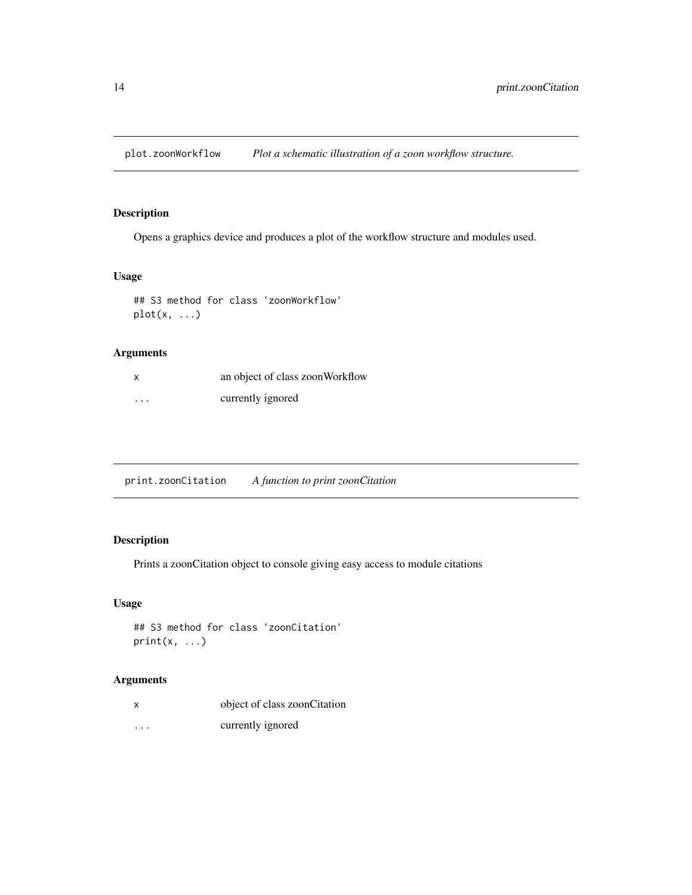<span id="page-13-0"></span>plot.zoonWorkflow *Plot a schematic illustration of a zoon workflow structure.*

#### Description

Opens a graphics device and produces a plot of the workflow structure and modules used.

### Usage

```
## S3 method for class 'zoonWorkflow'
plot(x, ...)
```
### Arguments

| x        | an object of class zoonWorkflow |
|----------|---------------------------------|
| $\cdots$ | currently ignored               |

<span id="page-13-1"></span>print.zoonCitation *A function to print zoonCitation*

### Description

Prints a zoonCitation object to console giving easy access to module citations

### Usage

```
## S3 method for class 'zoonCitation'
print(x, \ldots)
```
#### Arguments

| $\boldsymbol{\mathsf{x}}$ | object of class zoonCitation |
|---------------------------|------------------------------|
| .                         | currently ignored            |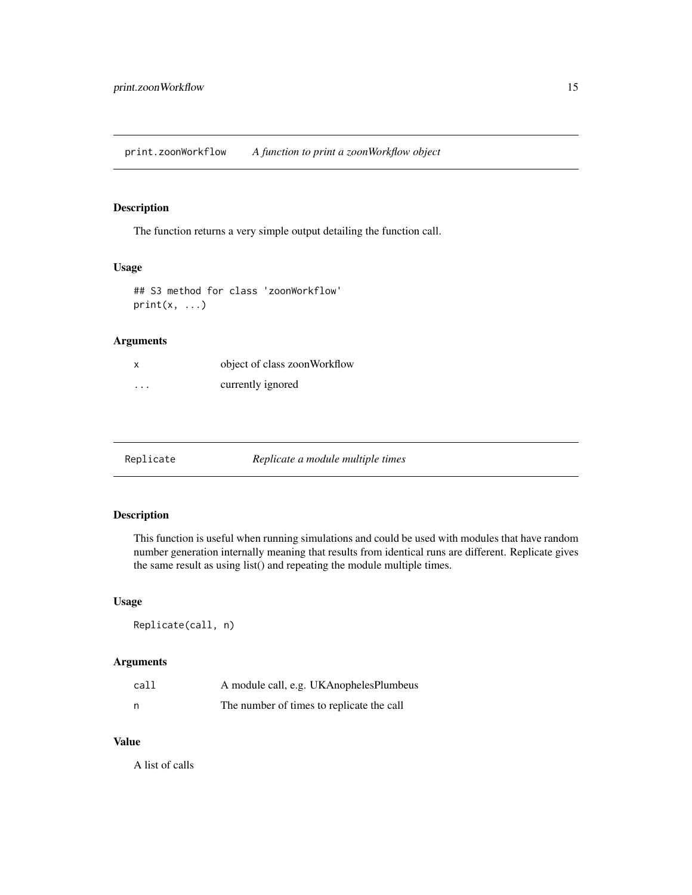<span id="page-14-0"></span>print.zoonWorkflow *A function to print a zoonWorkflow object*

#### Description

The function returns a very simple output detailing the function call.

### Usage

## S3 method for class 'zoonWorkflow'  $print(x, \ldots)$ 

### Arguments

| x                       | object of class zoonWorkflow |
|-------------------------|------------------------------|
| $\cdot$ $\cdot$ $\cdot$ | currently ignored            |

Replicate *Replicate a module multiple times*

### Description

This function is useful when running simulations and could be used with modules that have random number generation internally meaning that results from identical runs are different. Replicate gives the same result as using list() and repeating the module multiple times.

#### Usage

Replicate(call, n)

#### Arguments

| call | A module call, e.g. UKA nopheles Plumbeus |
|------|-------------------------------------------|
| n    | The number of times to replicate the call |

#### Value

A list of calls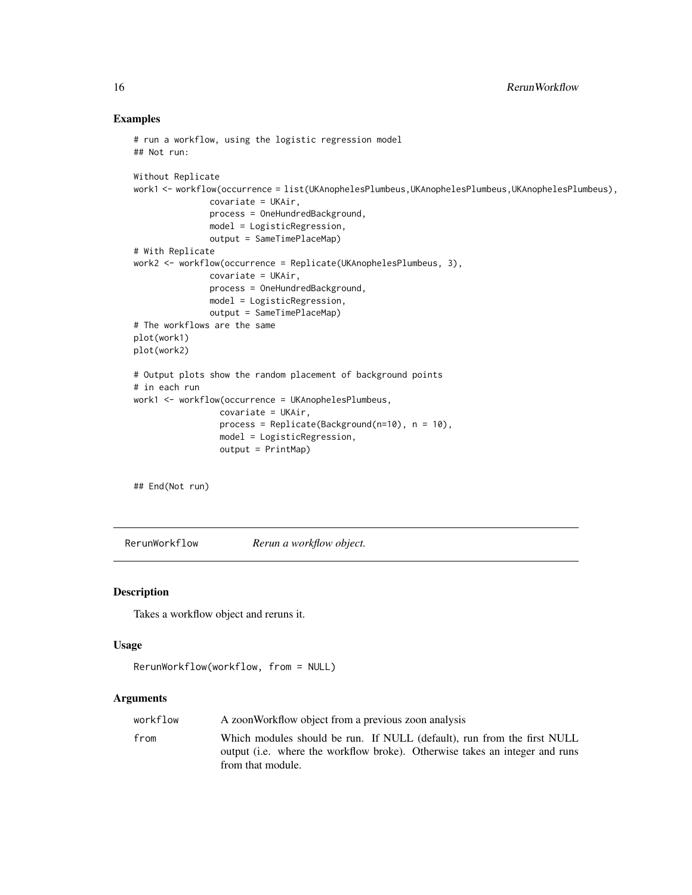#### Examples

```
# run a workflow, using the logistic regression model
## Not run:
Without Replicate
work1 <- workflow(occurrence = list(UKAnophelesPlumbeus,UKAnophelesPlumbeus,UKAnophelesPlumbeus),
               covariate = UKAir,
               process = OneHundredBackground,
               model = LogisticRegression,
               output = SameTimePlaceMap)
# With Replicate
work2 <- workflow(occurrence = Replicate(UKAnophelesPlumbeus, 3),
               covariate = UKAir,
               process = OneHundredBackground,
               model = LogisticRegression,
               output = SameTimePlaceMap)
# The workflows are the same
plot(work1)
plot(work2)
# Output plots show the random placement of background points
# in each run
work1 <- workflow(occurrence = UKAnophelesPlumbeus,
                 covariate = UKAir,
                 process = Replicate(Background(n=10), n = 10),
                 model = LogisticRegression,
                 output = PrintMap)
```
## End(Not run)

RerunWorkflow *Rerun a workflow object.*

#### Description

Takes a workflow object and reruns it.

#### Usage

```
RerunWorkflow(workflow, from = NULL)
```
#### Arguments

| workflow | A zoon Workflow object from a previous zoon analysis                                                                                                                        |
|----------|-----------------------------------------------------------------------------------------------------------------------------------------------------------------------------|
| from     | Which modules should be run. If NULL (default), run from the first NULL<br>output (i.e. where the workflow broke). Otherwise takes an integer and runs<br>from that module. |

<span id="page-15-0"></span>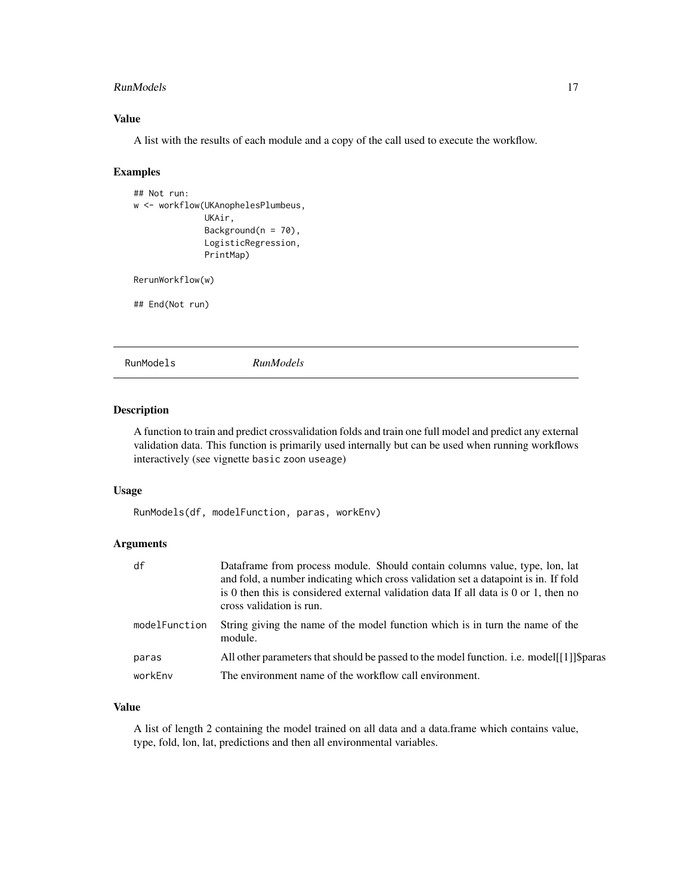#### <span id="page-16-0"></span>RunModels 2008 and 2008 and 2008 and 2008 and 2008 and 2008 and 2008 and 2008 and 2008 and 2008 and 2008 and 20

### Value

A list with the results of each module and a copy of the call used to execute the workflow.

#### Examples

```
## Not run:
w <- workflow(UKAnophelesPlumbeus,
              UKAir,
              Background(n = 70),
              LogisticRegression,
              PrintMap)
RerunWorkflow(w)
```
## End(Not run)

RunModels *RunModels*

### **Description**

A function to train and predict crossvalidation folds and train one full model and predict any external validation data. This function is primarily used internally but can be used when running workflows interactively (see vignette basic zoon useage)

### Usage

RunModels(df, modelFunction, paras, workEnv)

### Arguments

| df            | Dataframe from process module. Should contain columns value, type, lon, lat<br>and fold, a number indicating which cross validation set a datapoint is in. If fold<br>is 0 then this is considered external validation data If all data is $0$ or 1, then no<br>cross validation is run. |
|---------------|------------------------------------------------------------------------------------------------------------------------------------------------------------------------------------------------------------------------------------------------------------------------------------------|
| modelFunction | String giving the name of the model function which is in turn the name of the<br>module.                                                                                                                                                                                                 |
| paras         | All other parameters that should be passed to the model function. i.e. model[[1]]\\$paras                                                                                                                                                                                                |
| workEnv       | The environment name of the workflow call environment.                                                                                                                                                                                                                                   |

#### Value

A list of length 2 containing the model trained on all data and a data.frame which contains value, type, fold, lon, lat, predictions and then all environmental variables.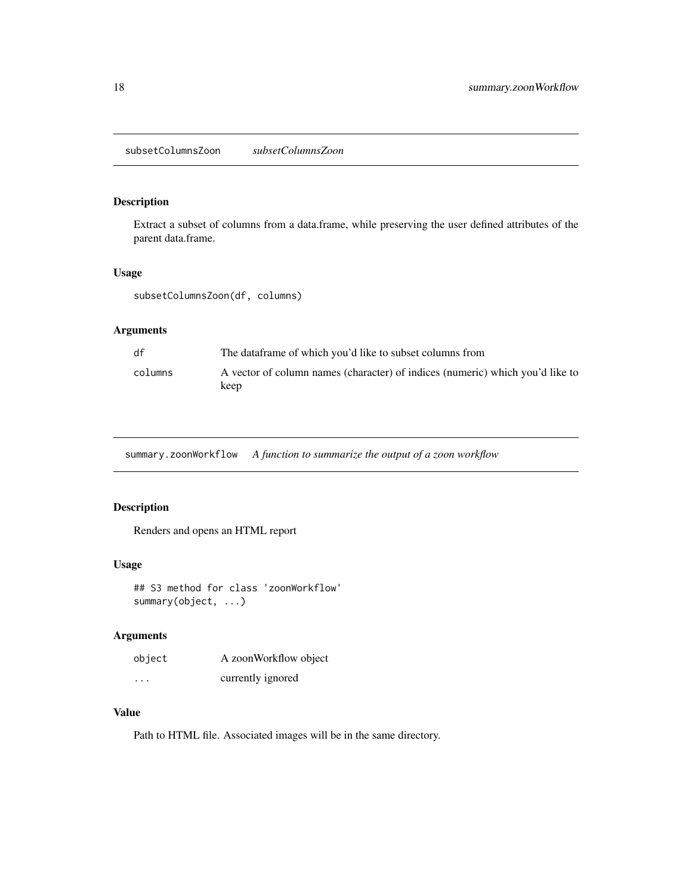<span id="page-17-0"></span>Extract a subset of columns from a data.frame, while preserving the user defined attributes of the parent data.frame.

### Usage

subsetColumnsZoon(df, columns)

### Arguments

| df      | The dataframe of which you'd like to subset columns from                              |
|---------|---------------------------------------------------------------------------------------|
| columns | A vector of column names (character) of indices (numeric) which you'd like to<br>keep |

summary.zoonWorkflow *A function to summarize the output of a zoon workflow*

### Description

Renders and opens an HTML report

#### Usage

## S3 method for class 'zoonWorkflow' summary(object, ...)

#### Arguments

| object | A zoonWorkflow object |
|--------|-----------------------|
| .      | currently ignored     |

### Value

Path to HTML file. Associated images will be in the same directory.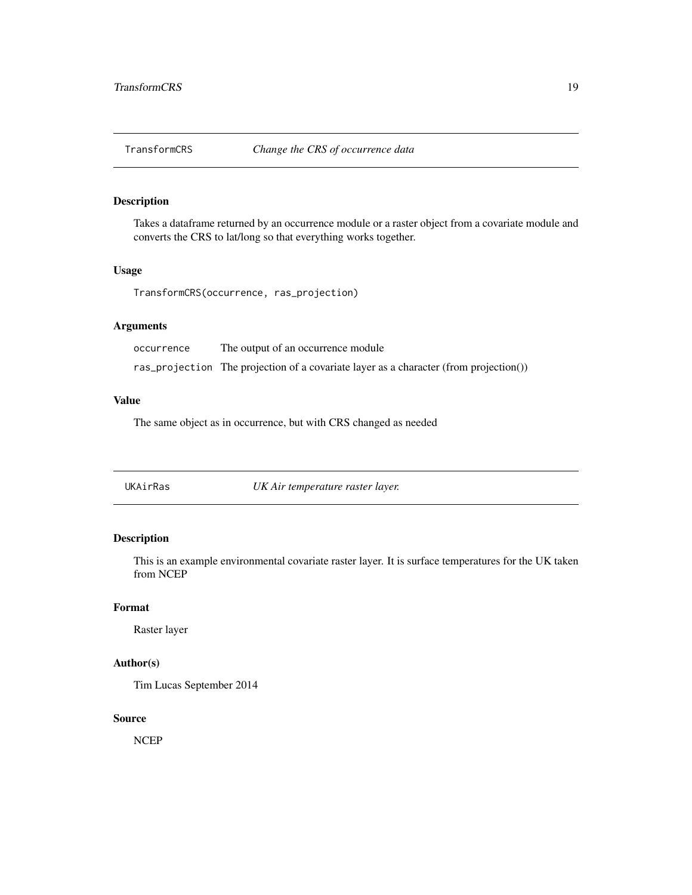<span id="page-18-0"></span>

Takes a dataframe returned by an occurrence module or a raster object from a covariate module and converts the CRS to lat/long so that everything works together.

### Usage

TransformCRS(occurrence, ras\_projection)

### Arguments

| occurrence | The output of an occurrence module                                                    |
|------------|---------------------------------------------------------------------------------------|
|            | ras_projection The projection of a covariate layer as a character (from projection()) |

### Value

The same object as in occurrence, but with CRS changed as needed

UKAirRas *UK Air temperature raster layer.*

### Description

This is an example environmental covariate raster layer. It is surface temperatures for the UK taken from NCEP

#### Format

Raster layer

#### Author(s)

Tim Lucas September 2014

#### Source

NCEP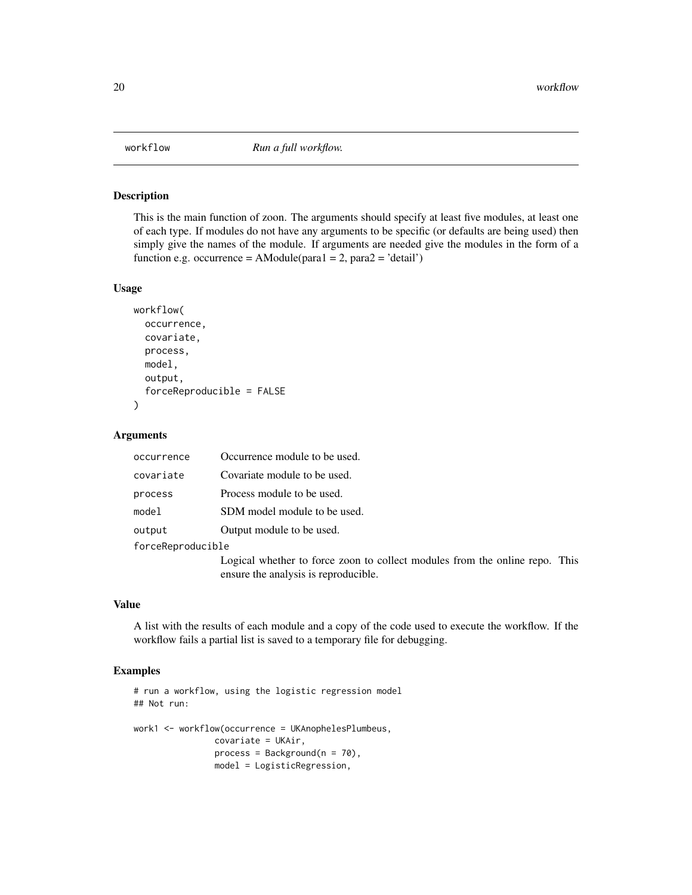<span id="page-19-0"></span>

This is the main function of zoon. The arguments should specify at least five modules, at least one of each type. If modules do not have any arguments to be specific (or defaults are being used) then simply give the names of the module. If arguments are needed give the modules in the form of a function e.g. occurrence = AModule(para1 = 2, para2 = 'detail')

#### Usage

```
workflow(
  occurrence,
  covariate,
  process,
 model,
  output,
  forceReproducible = FALSE
```
#### Arguments

)

| occurrence        | Occurrence module to be used.                                                                                       |
|-------------------|---------------------------------------------------------------------------------------------------------------------|
| covariate         | Covariate module to be used.                                                                                        |
| process           | Process module to be used.                                                                                          |
| model             | SDM model module to be used.                                                                                        |
| output            | Output module to be used.                                                                                           |
| forceReproducible |                                                                                                                     |
|                   | Logical whether to force zoon to collect modules from the online repo. This<br>ensure the analysis is reproducible. |

#### Value

A list with the results of each module and a copy of the code used to execute the workflow. If the workflow fails a partial list is saved to a temporary file for debugging.

### Examples

```
# run a workflow, using the logistic regression model
## Not run:
work1 <- workflow(occurrence = UKAnophelesPlumbeus,
               covariate = UKAir,
                process = Background(n = 70),
               model = LogisticRegression,
```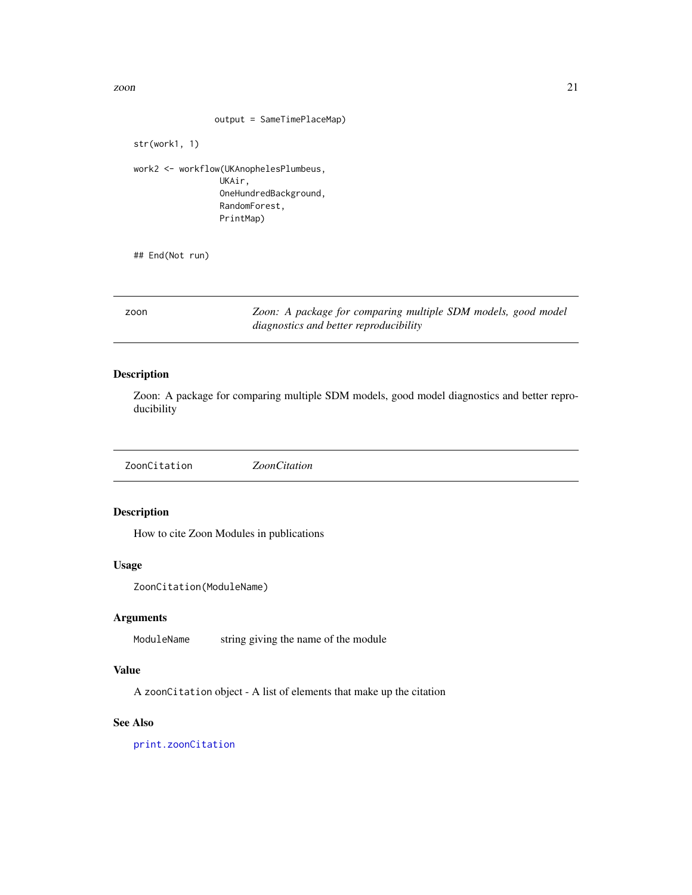<span id="page-20-0"></span>zoon  $21$ 

```
output = SameTimePlaceMap)
```
str(work1, 1)

work2 <- workflow(UKAnophelesPlumbeus, UKAir, OneHundredBackground, RandomForest, PrintMap)

## End(Not run)

zoon *Zoon: A package for comparing multiple SDM models, good model diagnostics and better reproducibility*

### Description

Zoon: A package for comparing multiple SDM models, good model diagnostics and better reproducibility

ZoonCitation *ZoonCitation*

### Description

How to cite Zoon Modules in publications

#### Usage

ZoonCitation(ModuleName)

#### Arguments

ModuleName string giving the name of the module

### Value

A zoonCitation object - A list of elements that make up the citation

### See Also

[print.zoonCitation](#page-13-1)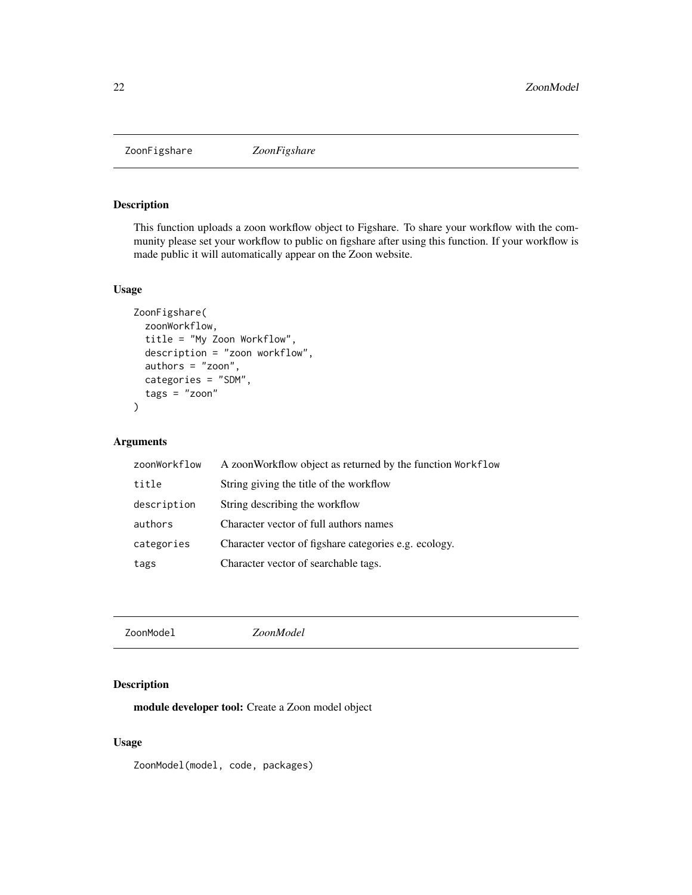<span id="page-21-0"></span>

This function uploads a zoon workflow object to Figshare. To share your workflow with the community please set your workflow to public on figshare after using this function. If your workflow is made public it will automatically appear on the Zoon website.

#### Usage

```
ZoonFigshare(
 zoonWorkflow,
  title = "My Zoon Workflow",
  description = "zoon workflow",
  authors = "zoon",
 categories = "SDM",
  tags = "zoon")
```
### Arguments

| zoonWorkflow | A zoon Workflow object as returned by the function Workflow |
|--------------|-------------------------------------------------------------|
| title        | String giving the title of the workflow                     |
| description  | String describing the workflow                              |
| authors      | Character vector of full authors names                      |
| categories   | Character vector of figshare categories e.g. ecology.       |
| tags         | Character vector of searchable tags.                        |

ZoonModel *ZoonModel*

### Description

module developer tool: Create a Zoon model object

### Usage

ZoonModel(model, code, packages)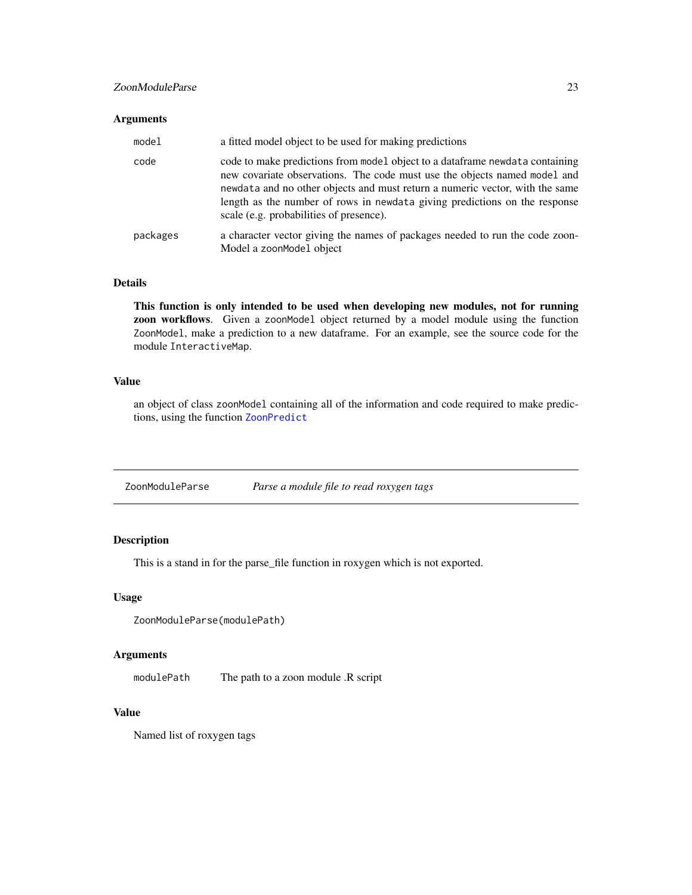#### <span id="page-22-0"></span>ZoonModuleParse 23

#### Arguments

| model    | a fitted model object to be used for making predictions                                                                                                                                                                                                                                                                                                             |
|----------|---------------------------------------------------------------------------------------------------------------------------------------------------------------------------------------------------------------------------------------------------------------------------------------------------------------------------------------------------------------------|
| code     | code to make predictions from model object to a data frame newdata containing<br>new covariate observations. The code must use the objects named model and<br>newdata and no other objects and must return a numeric vector, with the same<br>length as the number of rows in newdata giving predictions on the response<br>scale (e.g. probabilities of presence). |
| packages | a character vector giving the names of packages needed to run the code zoon-<br>Model a zoonModel object                                                                                                                                                                                                                                                            |

#### Details

This function is only intended to be used when developing new modules, not for running zoon workflows. Given a zoonModel object returned by a model module using the function ZoonModel, make a prediction to a new dataframe. For an example, see the source code for the module InteractiveMap.

#### Value

an object of class zoonModel containing all of the information and code required to make predictions, using the function [ZoonPredict](#page-23-1)

ZoonModuleParse *Parse a module file to read roxygen tags*

### Description

This is a stand in for the parse\_file function in roxygen which is not exported.

### Usage

```
ZoonModuleParse(modulePath)
```
### Arguments

modulePath The path to a zoon module .R script

#### Value

Named list of roxygen tags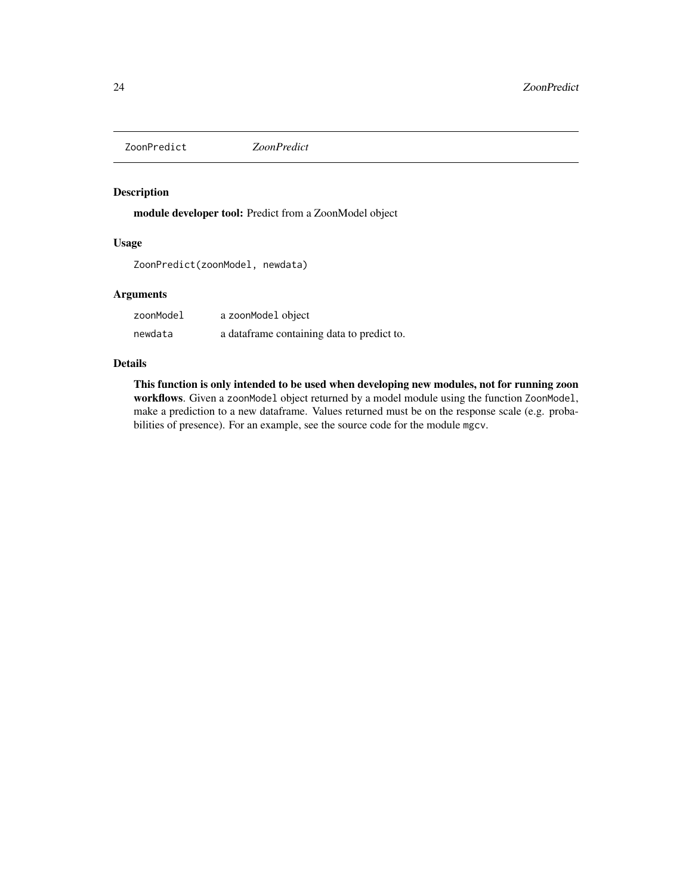<span id="page-23-1"></span><span id="page-23-0"></span>ZoonPredict *ZoonPredict*

### Description

module developer tool: Predict from a ZoonModel object

### Usage

ZoonPredict(zoonModel, newdata)

### Arguments

| zoonModel | a zoonModel object                         |
|-----------|--------------------------------------------|
| newdata   | a dataframe containing data to predict to. |

#### Details

This function is only intended to be used when developing new modules, not for running zoon workflows. Given a zoonModel object returned by a model module using the function ZoonModel, make a prediction to a new dataframe. Values returned must be on the response scale (e.g. probabilities of presence). For an example, see the source code for the module mgcv.